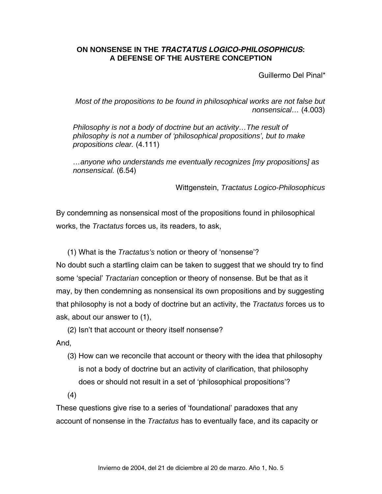## **ON NONSENSE IN THE** *TRACTATUS LOGICO-PHILOSOPHICUS***: A DEFENSE OF THE AUSTERE CONCEPTION**

Guillermo Del Pinal\*

*Most of the propositions to be found in philosophical works are not false but nonsensical…* (4.003)

*Philosophy is not a body of doctrine but an activity…The result of philosophy is not a number of 'philosophical propositions', but to make propositions clear.* (4.111)

*…anyone who understands me eventually recognizes [my propositions] as nonsensical.* (6.54)

Wittgenstein, *Tractatus Logico-Philosophicus* 

By condemning as nonsensical most of the propositions found in philosophical works, the *Tractatus* forces us, its readers, to ask,

(1) What is the *Tractatus's* notion or theory of 'nonsense'?

No doubt such a startling claim can be taken to suggest that we should try to find some 'special' *Tractarian* conception or theory of nonsense. But be that as it may, by then condemning as nonsensical its own propositions and by suggesting that philosophy is not a body of doctrine but an activity, the *Tractatus* forces us to ask, about our answer to (1),

(2) Isn't that account or theory itself nonsense?

And,

(3) How can we reconcile that account or theory with the idea that philosophy is not a body of doctrine but an activity of clarification, that philosophy does or should not result in a set of 'philosophical propositions'?

(4)

These questions give rise to a series of 'foundational' paradoxes that any account of nonsense in the *Tractatus* has to eventually face, and its capacity or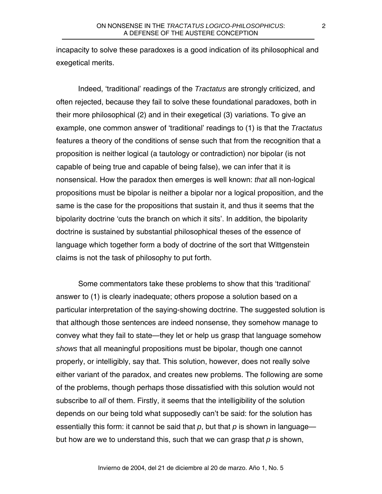incapacity to solve these paradoxes is a good indication of its philosophical and exegetical merits.

Indeed, 'traditional' readings of the *Tractatus* are strongly criticized, and often rejected, because they fail to solve these foundational paradoxes, both in their more philosophical (2) and in their exegetical (3) variations. To give an example, one common answer of 'traditional' readings to (1) is that the *Tractatus* features a theory of the conditions of sense such that from the recognition that a proposition is neither logical (a tautology or contradiction) nor bipolar (is not capable of being true and capable of being false), we can infer that it is nonsensical. How the paradox then emerges is well known: *that* all non-logical propositions must be bipolar is neither a bipolar nor a logical proposition, and the same is the case for the propositions that sustain it, and thus it seems that the bipolarity doctrine 'cuts the branch on which it sits'. In addition, the bipolarity doctrine is sustained by substantial philosophical theses of the essence of language which together form a body of doctrine of the sort that Wittgenstein claims is not the task of philosophy to put forth.

Some commentators take these problems to show that this 'traditional' answer to (1) is clearly inadequate; others propose a solution based on a particular interpretation of the saying-showing doctrine. The suggested solution is that although those sentences are indeed nonsense, they somehow manage to convey what they fail to state—they let or help us grasp that language somehow *shows* that all meaningful propositions must be bipolar, though one cannot properly, or intelligibly, say that. This solution, however, does not really solve either variant of the paradox, and creates new problems. The following are some of the problems, though perhaps those dissatisfied with this solution would not subscribe to *all* of them. Firstly, it seems that the intelligibility of the solution depends on our being told what supposedly can't be said: for the solution has essentially this form: it cannot be said that *p*, but that *p* is shown in language but how are we to understand this, such that we can grasp that *p* is shown,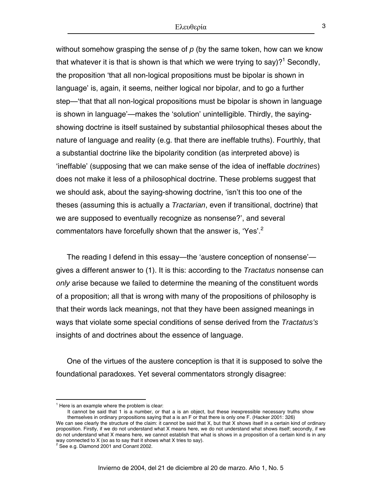without somehow grasping the sense of *p* (by the same token, how can we know that whatever it is that is shown is that which we were trying to say)?<sup>[1](#page-2-0)</sup> Secondly, the proposition 'that all non-logical propositions must be bipolar is shown in language' is, again, it seems, neither logical nor bipolar, and to go a further step—'that that all non-logical propositions must be bipolar is shown in language is shown in language'—makes the 'solution' unintelligible. Thirdly, the sayingshowing doctrine is itself sustained by substantial philosophical theses about the nature of language and reality (e.g. that there are ineffable truths). Fourthly, that a substantial doctrine like the bipolarity condition (as interpreted above) is 'ineffable' (supposing that we can make sense of the idea of ineffable *doctrines*) does not make it less of a philosophical doctrine. These problems suggest that we should ask, about the saying-showing doctrine, 'isn't this too one of the theses (assuming this is actually a *Tractarian*, even if transitional, doctrine) that we are supposed to eventually recognize as nonsense?', and several commentators have forcefully shown that the answer is, 'Yes'.<sup>[2](#page-2-1)</sup>

The reading I defend in this essay—the 'austere conception of nonsense' gives a different answer to (1). It is this: according to the *Tractatus* nonsense can *only* arise because we failed to determine the meaning of the constituent words of a proposition; all that is wrong with many of the propositions of philosophy is that their words lack meanings, not that they have been assigned meanings in ways that violate some special conditions of sense derived from the *Tractatus's* insights of and doctrines about the essence of language.

One of the virtues of the austere conception is that it is supposed to solve the foundational paradoxes. Yet several commentators strongly disagree:

<span id="page-2-0"></span> $<sup>1</sup>$  Here is an example where the problem is clear:</sup>

It cannot be said that 1 is a number, or that a is an object, but these inexpressible necessary truths show themselves in ordinary propositions saying that a is an F or that there is only one F. (Hacker 2001: 326)

We can see clearly the structure of the claim: it cannot be said that X, but that X shows itself in a certain kind of ordinary proposition. Firstly, if we do not understand what X means here, we do not understand what shows itself; secondly, if we do not understand what X means here, we cannot establish that what is shows in a proposition of a certain kind is in any way connected to X (so as to say that it shows what X tries to say).<br><sup>2</sup> See e.g. Diamond 2001 and Conant 2002.

<span id="page-2-1"></span>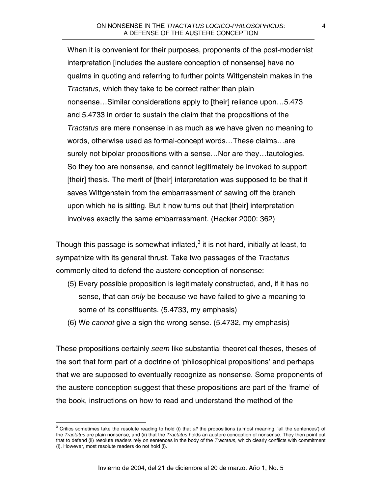When it is convenient for their purposes, proponents of the post-modernist interpretation [includes the austere conception of nonsense] have no qualms in quoting and referring to further points Wittgenstein makes in the *Tractatus,* which they take to be correct rather than plain nonsense…Similar considerations apply to [their] reliance upon…5.473 and 5.4733 in order to sustain the claim that the propositions of the *Tractatus* are mere nonsense in as much as we have given no meaning to words, otherwise used as formal-concept words…These claims…are surely not bipolar propositions with a sense…Nor are they…tautologies. So they too are nonsense, and cannot legitimately be invoked to support [their] thesis. The merit of [their] interpretation was supposed to be that it saves Wittgenstein from the embarrassment of sawing off the branch upon which he is sitting. But it now turns out that [their] interpretation involves exactly the same embarrassment. (Hacker 2000: 362)

Though this passage is somewhat inflated, $^3$  $^3$  it is not hard, initially at least, to sympathize with its general thrust. Take two passages of the *Tractatus* commonly cited to defend the austere conception of nonsense:

- (5) Every possible proposition is legitimately constructed, and, if it has no sense, that can *only* be because we have failed to give a meaning to some of its constituents. (5.4733, my emphasis)
- (6) We *cannot* give a sign the wrong sense. (5.4732, my emphasis)

These propositions certainly *seem* like substantial theoretical theses, theses of the sort that form part of a doctrine of 'philosophical propositions' and perhaps that we are supposed to eventually recognize as nonsense. Some proponents of the austere conception suggest that these propositions are part of the 'frame' of the book, instructions on how to read and understand the method of the

<span id="page-3-0"></span> 3 Critics sometimes take the resolute reading to hold (i) that *all* the propositions (almost meaning, 'all the sentences') of the *Tractatus* are plain nonsense, and (ii) that the *Tractatus* holds an austere conception of nonsense. They then point out that to defend (ii) resolute readers rely on sentences in the body of the *Tractatus*, which clearly conflicts with commitment (i). However, most resolute readers do not hold (i).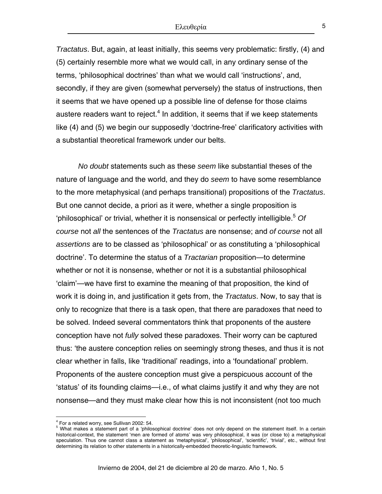*Tractatus*. But, again, at least initially, this seems very problematic: firstly, (4) and (5) certainly resemble more what we would call, in any ordinary sense of the terms, 'philosophical doctrines' than what we would call 'instructions', and, secondly, if they are given (somewhat perversely) the status of instructions, then it seems that we have opened up a possible line of defense for those claims austere readers want to reject. $4$  In addition, it seems that if we keep statements like (4) and (5) we begin our supposedly 'doctrine-free' clarificatory activities with a substantial theoretical framework under our belts.

*No doubt* statements such as these *seem* like substantial theses of the nature of language and the world, and they do *seem* to have some resemblance to the more metaphysical (and perhaps transitional) propositions of the *Tractatus*. But one cannot decide, a priori as it were, whether a single proposition is 'philosophical' or trivial, whether it is nonsensical or perfectly intelligible.[5](#page-4-1) *Of course* not *all* the sentences of the *Tractatus* are nonsense; and *of course* not all *assertions* are to be classed as 'philosophical' or as constituting a 'philosophical doctrine'. To determine the status of a *Tractarian* proposition—to determine whether or not it is nonsense, whether or not it is a substantial philosophical 'claim'—we have first to examine the meaning of that proposition, the kind of work it is doing in, and justification it gets from, the *Tractatus*. Now, to say that is only to recognize that there is a task open, that there are paradoxes that need to be solved. Indeed several commentators think that proponents of the austere conception have not *fully* solved these paradoxes. Their worry can be captured thus: 'the austere conception relies on seemingly strong theses, and thus it is not clear whether in falls, like 'traditional' readings, into a 'foundational' problem. Proponents of the austere conception must give a perspicuous account of the 'status' of its founding claims—i.e., of what claims justify it and why they are not nonsense—and they must make clear how this is not inconsistent (not too much

<span id="page-4-0"></span> $^4$  For a related worry, see Sullivan 2002: 54.<br> $^5$  What makes a statement part of a 'philos

<span id="page-4-1"></span><sup>&</sup>lt;sup>5</sup> What makes a statement part of a 'philosophical doctrine' does not only depend on the statement itself. In a certain historical-context, the statement 'men are formed of atoms' was very philosophical, it was (or close to) a metaphysical speculation. Thus one cannot class a statement as 'metaphysical', 'philosophical', 'scientific', 'trivial', etc., without first determining its relation to other statements in a historically-embedded theoretic-linguistic framework.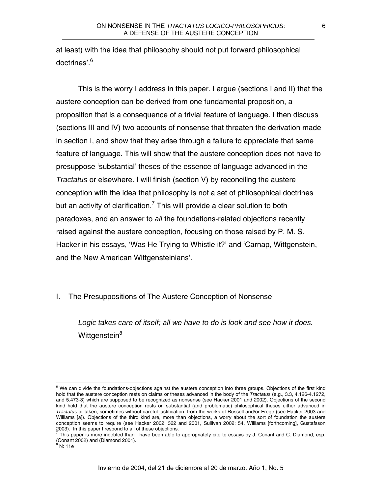at least) with the idea that philosophy should not put forward philosophical doctrines'.<sup>[6](#page-5-0)</sup>

This is the worry I address in this paper. I argue (sections I and II) that the austere conception can be derived from one fundamental proposition, a proposition that is a consequence of a trivial feature of language. I then discuss (sections III and IV) two accounts of nonsense that threaten the derivation made in section I, and show that they arise through a failure to appreciate that same feature of language. This will show that the austere conception does not have to presuppose 'substantial' theses of the essence of language advanced in the *Tractatus* or elsewhere. I will finish (section V) by reconciling the austere conception with the idea that philosophy is not a set of philosophical doctrines but an activity of clarification.<sup>[7](#page-5-1)</sup> This will provide a clear solution to both paradoxes, and an answer to *all* the foundations-related objections recently raised against the austere conception, focusing on those raised by P. M. S. Hacker in his essays, 'Was He Trying to Whistle it?' and 'Carnap, Wittgenstein, and the New American Wittgensteinians'.

## I. The Presuppositions of The Austere Conception of Nonsense

*Logic takes care of itself; all we have to do is look and see how it does.*  Wittgenstein<sup>[8](#page-5-2)</sup>

<u>.</u>

<span id="page-5-0"></span> $6$  We can divide the foundations-objections against the austere conception into three groups. Objections of the first kind hold that the austere conception rests on claims or theses advanced in the body of the *Tractatus* (e.g., 3.3, 4.126-4.1272, and 5.473-3) which are supposed to be recognized as nonsense (see Hacker 2001 and 2002). Objections of the second kind hold that the austere conception rests on substantial (and problematic) philosophical theses either advanced in *Tractatus* or taken, sometimes without careful justification, from the works of Russell and/or Frege (see Hacker 2003 and Williams [a]). Objections of the third kind are, more than objections, a worry about the sort of foundation the austere conception seems to require (see Hacker 2002: 362 and 2001, Sullivan 2002: 54, Williams [forthcoming], Gustafsson 2003). In this paper I respond to all of these objections.

<span id="page-5-1"></span>This paper is more indebted than I have been able to appropriately cite to essays by J. Conant and C. Diamond, esp. (Conant 2002) and (Diamond 2001).

<span id="page-5-2"></span>N: 11e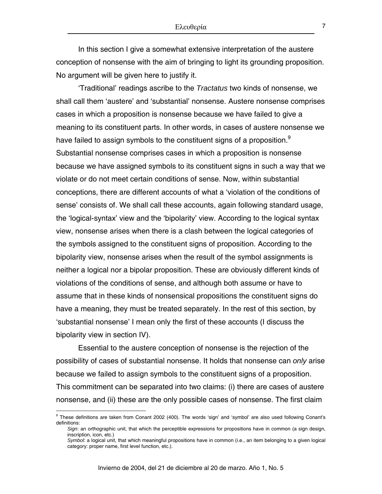In this section I give a somewhat extensive interpretation of the austere conception of nonsense with the aim of bringing to light its grounding proposition. No argument will be given here to justify it.

'Traditional' readings ascribe to the *Tractatus* two kinds of nonsense, we shall call them 'austere' and 'substantial' nonsense. Austere nonsense comprises cases in which a proposition is nonsense because we have failed to give a meaning to its constituent parts. In other words, in cases of austere nonsense we have failed to assign symbols to the constituent signs of a proposition.<sup>[9](#page-6-0)</sup> Substantial nonsense comprises cases in which a proposition is nonsense because we have assigned symbols to its constituent signs in such a way that we violate or do not meet certain conditions of sense. Now, within substantial conceptions, there are different accounts of what a 'violation of the conditions of sense' consists of. We shall call these accounts, again following standard usage, the 'logical-syntax' view and the 'bipolarity' view. According to the logical syntax view, nonsense arises when there is a clash between the logical categories of the symbols assigned to the constituent signs of proposition. According to the bipolarity view, nonsense arises when the result of the symbol assignments is neither a logical nor a bipolar proposition. These are obviously different kinds of violations of the conditions of sense, and although both assume or have to assume that in these kinds of nonsensical propositions the constituent signs do have a meaning, they must be treated separately. In the rest of this section, by 'substantial nonsense' I mean only the first of these accounts (I discuss the bipolarity view in section IV).

Essential to the austere conception of nonsense is the rejection of the possibility of cases of substantial nonsense. It holds that nonsense can *only* arise because we failed to assign symbols to the constituent signs of a proposition. This commitment can be separated into two claims: (i) there are cases of austere nonsense, and (ii) these are the only possible cases of nonsense. The first claim

<span id="page-6-0"></span><sup>&</sup>lt;sup>9</sup> These definitions are taken from Conant 2002 (400). The words 'sign' and 'symbol' are also used following Conant's definitions:

*Sign*: an orthographic unit, that which the perceptible expressions for propositions have in common (a sign design, inscription, icon, etc.)

*Symbol*: a logical unit, that which meaningful propositions have in common (i.e., an item belonging to a given logical category: proper name, first level function, etc.).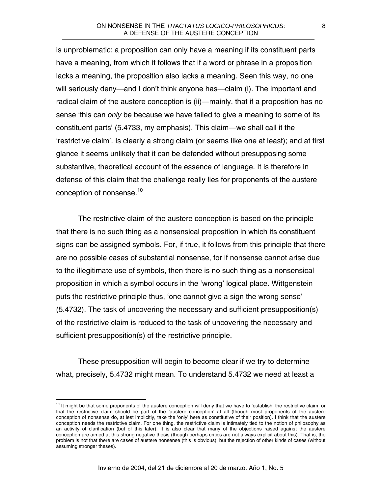is unproblematic: a proposition can only have a meaning if its constituent parts have a meaning, from which it follows that if a word or phrase in a proposition lacks a meaning, the proposition also lacks a meaning. Seen this way, no one will seriously deny—and I don't think anyone has—claim (i). The important and radical claim of the austere conception is (ii)—mainly, that if a proposition has no sense 'this can *only* be because we have failed to give a meaning to some of its constituent parts' (5.4733, my emphasis). This claim—we shall call it the 'restrictive claim'. Is clearly a strong claim (or seems like one at least); and at first glance it seems unlikely that it can be defended without presupposing some substantive, theoretical account of the essence of language. It is therefore in defense of this claim that the challenge really lies for proponents of the austere conception of nonsense.<sup>[10](#page-7-0)</sup>

The restrictive claim of the austere conception is based on the principle that there is no such thing as a nonsensical proposition in which its constituent signs can be assigned symbols. For, if true, it follows from this principle that there are no possible cases of substantial nonsense, for if nonsense cannot arise due to the illegitimate use of symbols, then there is no such thing as a nonsensical proposition in which a symbol occurs in the 'wrong' logical place. Wittgenstein puts the restrictive principle thus, 'one cannot give a sign the wrong sense' (5.4732). The task of uncovering the necessary and sufficient presupposition(s) of the restrictive claim is reduced to the task of uncovering the necessary and sufficient presupposition(s) of the restrictive principle.

These presupposition will begin to become clear if we try to determine what, precisely, 5.4732 might mean. To understand 5.4732 we need at least a

<span id="page-7-0"></span> $10$  It might be that some proponents of the austere conception will deny that we have to 'establish' the restrictive claim, or that the restrictive claim should be part of the 'austere conception' at all (though most proponents of the austere conception of nonsense do, at lest implicitly, take the 'only' here as constitutive of their position). I think that the austere conception needs the restrictive claim. For one thing, the restrictive claim is intimately tied to the notion of philosophy as an activity of clarification (but of this later). It is also clear that many of the objections raised against the austere conception are aimed at this strong negative thesis (though perhaps critics are not always explicit about this). That is, the problem is not that there are cases of austere nonsense (this is obvious), but the rejection of other kinds of cases (without assuming stronger theses).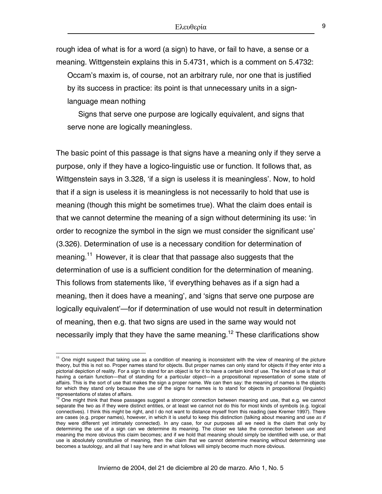rough idea of what is for a word (a sign) to have, or fail to have, a sense or a meaning. Wittgenstein explains this in 5.4731, which is a comment on 5.4732:

Occam's maxim is, of course, not an arbitrary rule, nor one that is justified by its success in practice: its point is that unnecessary units in a signlanguage mean nothing

Signs that serve one purpose are logically equivalent, and signs that serve none are logically meaningless.

The basic point of this passage is that signs have a meaning only if they serve a purpose, only if they have a logico-linguistic use or function. It follows that, as Wittgenstein says in 3.328, 'if a sign is useless it is meaningless'. Now, to hold that if a sign is useless it is meaningless is not necessarily to hold that use is meaning (though this might be sometimes true). What the claim does entail is that we cannot determine the meaning of a sign without determining its use: 'in order to recognize the symbol in the sign we must consider the significant use' (3.326). Determination of use is a necessary condition for determination of meaning.<sup>[11](#page-8-0)</sup> However, it is clear that that passage also suggests that the determination of use is a sufficient condition for the determination of meaning. This follows from statements like, 'if everything behaves as if a sign had a meaning, then it does have a meaning', and 'signs that serve one purpose are logically equivalent'—for if determination of use would not result in determination of meaning, then e.g. that two signs are used in the same way would not necessarily imply that they have the same meaning.<sup>12</sup> These clarifications show

<u>.</u>

<span id="page-8-0"></span> $11$  One might suspect that taking use as a condition of meaning is inconsistent with the view of meaning of the picture theory, but this is not so. Proper names stand for objects. But proper names can only stand for objects if they enter into a pictorial depiction of reality. For a sign to stand for an object is for it to have a certain kind of use. The kind of use is that of having a certain function—that of standing for a particular object—in a propositional representation of some state of affairs. This is the sort of use that makes the sign a proper name. We can then say: the meaning of names is the objects for which they stand only because the use of the signs for names is to stand for objects in propositional (linguistic)<br>representations of states of affairs.

<span id="page-8-1"></span> $12$  One might think that these passages suggest a stronger connection between meaning and use, that e.g. we cannot separate the two as if they were distinct entities, or at least we cannot not do this for most kinds of symbols (e.g. logical connectives). I think this might be right, and I do not want to distance myself from this reading (see Kremer 1997). There are cases (e.g. proper names), however, in which it is useful to keep this distinction (talking about meaning and use *as if* they were different yet intimately connected). In any case, for our purposes all we need is the claim that only by determining the use of a sign can we determine its meaning. The closer we take the connection between use and meaning the more obvious this claim becomes; and if we hold that meaning should simply be identified with use, or that use is absolutely constitutive of meaning, then the claim that we cannot determine meaning without determining use becomes a tautology, and all that I say here and in what follows will simply become much more obvious.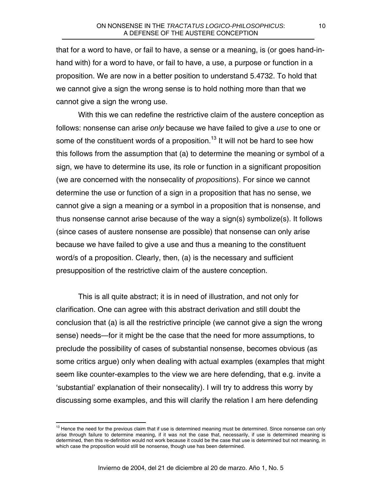that for a word to have, or fail to have, a sense or a meaning, is (or goes hand-inhand with) for a word to have, or fail to have, a use, a purpose or function in a proposition. We are now in a better position to understand 5.4732. To hold that we cannot give a sign the wrong sense is to hold nothing more than that we cannot give a sign the wrong use.

With this we can redefine the restrictive claim of the austere conception as follows: nonsense can arise *only* because we have failed to give a *use* to one or some of the constituent words of a proposition.<sup>13</sup> It will not be hard to see how this follows from the assumption that (a) to determine the meaning or symbol of a sign, we have to determine its use, its role or function in a significant proposition (we are concerned with the nonsecality of *propositions*). For since we cannot determine the use or function of a sign in a proposition that has no sense, we cannot give a sign a meaning or a symbol in a proposition that is nonsense, and thus nonsense cannot arise because of the way a sign(s) symbolize(s). It follows (since cases of austere nonsense are possible) that nonsense can only arise because we have failed to give a use and thus a meaning to the constituent word/s of a proposition. Clearly, then, (a) is the necessary and sufficient presupposition of the restrictive claim of the austere conception.

This is all quite abstract; it is in need of illustration, and not only for clarification. One can agree with this abstract derivation and still doubt the conclusion that (a) is all the restrictive principle (we cannot give a sign the wrong sense) needs—for it might be the case that the need for more assumptions, to preclude the possibility of cases of substantial nonsense, becomes obvious (as some critics argue) only when dealing with actual examples (examples that might seem like counter-examples to the view we are here defending, that e.g. invite a 'substantial' explanation of their nonsecality). I will try to address this worry by discussing some examples, and this will clarify the relation I am here defending

<span id="page-9-0"></span> $13$  Hence the need for the previous claim that if use is determined meaning must be determined. Since nonsense can only arise through failure to determine meaning, if it was not the case that, necessarily, if use is determined meaning is determined, then this re-definition would not work because it could be the case that use is determined but not meaning, in which case the proposition would still be nonsense, though use has been determined.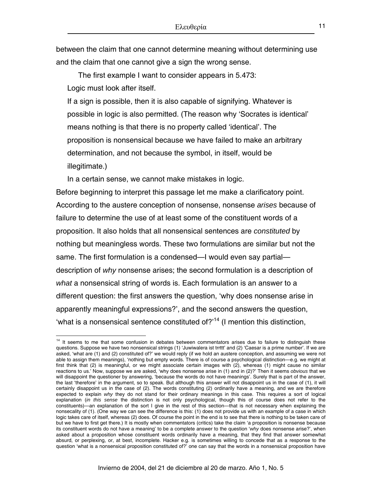between the claim that one cannot determine meaning without determining use and the claim that one cannot give a sign the wrong sense.

The first example I want to consider appears in 5.473: Logic must look after itself.

If a sign is possible, then it is also capable of signifying. Whatever is possible in logic is also permitted. (The reason why 'Socrates is identical' means nothing is that there is no property called 'identical'. The proposition is nonsensical because we have failed to make an arbitrary determination, and not because the symbol, in itself, would be illegitimate.)

In a certain sense, we cannot make mistakes in logic.

1

Before beginning to interpret this passage let me make a clarificatory point. According to the austere conception of nonsense, nonsense *arises* because of failure to determine the use of at least some of the constituent words of a proposition. It also holds that all nonsensical sentences are *constituted* by nothing but meaningless words. These two formulations are similar but not the same. The first formulation is a condensed—I would even say partial description of *why* nonsense arises; the second formulation is a description of *what* a nonsensical string of words is. Each formulation is an answer to a different question: the first answers the question, 'why does nonsense arise in apparently meaningful expressions?', and the second answers the question, 'what is a nonsensical sentence constituted of? $14$  (I mention this distinction,

<span id="page-10-0"></span><sup>&</sup>lt;sup>14</sup> It seems to me that some confusion in debates between commentators arises due to failure to distinguish these questions. Suppose we have two nonsensical strings (1) 'Juwiwalera ist trrttt' and (2) 'Caesar is a prime number'. If we are asked, 'what are (1) and (2) constituted of?' we would reply (if we hold an austere conception, and assuming we were not able to assign them meanings), 'nothing but empty words. There is of course a psychological distinction—e.g. we might at first think that (2) is meaningful, or we might associate certain images with (2), whereas (1) might cause no similar reactions to us.' Now, suppose we are asked, 'why does nonsense arise in (1) and in (2)?' Then it seems *obvious* that we will disappoint the questioner by answering, 'because the words do not have meanings'. Surely that is part of the answer, the last 'therefore' in the argument, so to speak. But although this answer will not disappoint us in the case of (1), it will certainly disappoint us in the case of (2). The words constituting (2) ordinarily have a meaning, and we are therefore expected to explain *why* they do not stand for their ordinary meanings in this case. This requires a sort of logical explanation (*in this sense* the distinction is not only psychological, though this of course does not refer to the constituents)—an explanation of the sort I give in the rest of this section—that is not necessary when explaining the nonsecality of (1). (One way we can see the difference is this: (1) does not provide us with an example of a case in which logic takes care of itself, whereas (2) does. Of course the point in the end is to see that there is nothing to be taken care of but we have to first get there.) It is mostly when commentators (critics) take the claim 'a proposition is nonsense because its constituent words do not have a meaning' to be a complete answer to the question '*why* does nonsense arise?', when asked about a proposition whose constituent words ordinarily have a meaning, that they find that answer somewhat absurd, or perplexing, or, at best, incomplete. Hacker e.g. is sometimes willing to concede that as a response to the question 'what is a nonsensical proposition constituted of?' one can say that the words in a nonsensical proposition have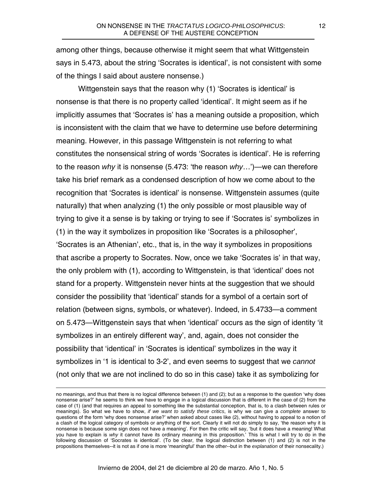among other things, because otherwise it might seem that what Wittgenstein says in 5.473, about the string 'Socrates is identical', is not consistent with some of the things I said about austere nonsense.)

Wittgenstein says that the reason why (1) 'Socrates is identical' is nonsense is that there is no property called 'identical'. It might seem as if he implicitly assumes that 'Socrates is' has a meaning outside a proposition, which is inconsistent with the claim that we have to determine use before determining meaning. However, in this passage Wittgenstein is not referring to what constitutes the nonsensical string of words 'Socrates is identical'. He is referring to the reason *why* it is nonsense (5.473: 'the reason *why*…')—we can therefore take his brief remark as a condensed description of how we come about to the recognition that 'Socrates is identical' is nonsense. Wittgenstein assumes (quite naturally) that when analyzing (1) the only possible or most plausible way of trying to give it a sense is by taking or trying to see if 'Socrates is' symbolizes in (1) in the way it symbolizes in proposition like 'Socrates is a philosopher', 'Socrates is an Athenian', etc., that is, in the way it symbolizes in propositions that ascribe a property to Socrates. Now, once we take 'Socrates is' in that way, the only problem with (1), according to Wittgenstein, is that 'identical' does not stand for a property. Wittgenstein never hints at the suggestion that we should consider the possibility that 'identical' stands for a symbol of a certain sort of relation (between signs, symbols, or whatever). Indeed, in 5.4733—a comment on 5.473—Wittgenstein says that when 'identical' occurs as the sign of identity 'it symbolizes in an entirely different way', and, again, does not consider the possibility that 'identical' in 'Socrates is identical' symbolizes in the way it symbolizes in '1 is identical to 3-2', and even seems to suggest that we *cannot* (not only that we are not inclined to do so in this case) take it as symbolizing for

no meanings, and thus that there is no logical difference between (1) and (2); but as a response to the question 'why does nonsense arise?' he seems to think we have to engage in a logical discussion that is different in the case of (2) from the case of (1) (and that requires an appeal to something like the substantial conception, that is, to a clash between rules or meanings). So what we have to show, *if we want to satisfy these critics*, is why we can give a *complete* answer to questions of the form 'why does nonsense arise?' when asked about cases like (2), without having to appeal to a notion of a clash of the logical category of symbols or anything of the sort. Clearly it will not do simply to say, 'the reason why it is nonsense is because some sign does not have a meaning'. For then the critic will say, 'but it does have a meaning! What you have to explain is *why* it cannot have its ordinary meaning in this proposition.' This is what I will try to do in the following discussion of 'Socrates is identical'. (To be clear, the logical distinction between (1) and (2) is not in the propositions themselves--it is not as if one is more 'meaningful' than the other--but in the *explanation* of their nonsecality.)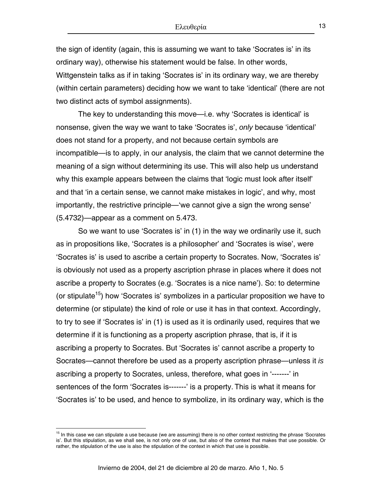the sign of identity (again, this is assuming we want to take 'Socrates is' in its ordinary way), otherwise his statement would be false. In other words, Wittgenstein talks as if in taking 'Socrates is' in its ordinary way, we are thereby (within certain parameters) deciding how we want to take 'identical' (there are not two distinct acts of symbol assignments).

The key to understanding this move—i.e. why 'Socrates is identical' is nonsense, given the way we want to take 'Socrates is', *only* because 'identical' does not stand for a property, and not because certain symbols are incompatible—is to apply, in our analysis, the claim that we cannot determine the meaning of a sign without determining its use. This will also help us understand why this example appears between the claims that 'logic must look after itself' and that 'in a certain sense, we cannot make mistakes in logic', and why, most importantly, the restrictive principle—'we cannot give a sign the wrong sense' (5.4732)—appear as a comment on 5.473.

So we want to use 'Socrates is' in (1) in the way we ordinarily use it, such as in propositions like, 'Socrates is a philosopher' and 'Socrates is wise', were 'Socrates is' is used to ascribe a certain property to Socrates. Now, 'Socrates is' is obviously not used as a property ascription phrase in places where it does not ascribe a property to Socrates (e.g. 'Socrates is a nice name'). So: to determine (or stipulate<sup>15</sup>) how 'Socrates is' symbolizes in a particular proposition we have to determine (or stipulate) the kind of role or use it has in that context. Accordingly, to try to see if 'Socrates is' in (1) is used as it is ordinarily used, requires that we determine if it is functioning as a property ascription phrase, that is, if it is ascribing a property to Socrates. But 'Socrates is' cannot ascribe a property to Socrates—cannot therefore be used as a property ascription phrase—unless it *is* ascribing a property to Socrates, unless, therefore, what goes in '-------' in sentences of the form 'Socrates is-------' is a property. This is what it means for 'Socrates is' to be used, and hence to symbolize, in its ordinary way, which is the

<span id="page-12-0"></span><sup>&</sup>lt;sup>15</sup> In this case we can stipulate a use because (we are assuming) there is no other context restricting the phrase 'Socrates is'. But this stipulation, as we shall see, is not only one of use, but also of the context that makes that use possible. Or rather, the stipulation of the use is also the stipulation of the context in which that use is possible.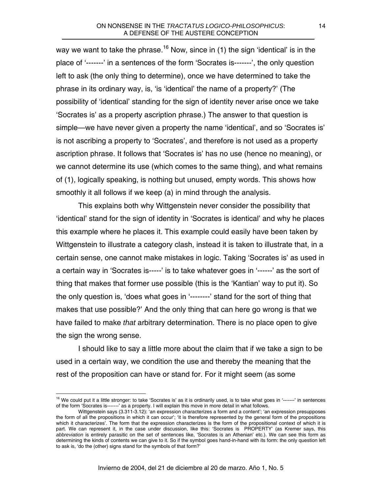way we want to take the phrase.<sup>16</sup> Now, since in (1) the sign 'identical' is in the place of '-------' in a sentences of the form 'Socrates is-------', the only question left to ask (the only thing to determine), once we have determined to take the phrase in its ordinary way, is, 'is 'identical' the name of a property?' (The possibility of 'identical' standing for the sign of identity never arise once we take 'Socrates is' as a property ascription phrase.) The answer to that question is simple—we have never given a property the name 'identical', and so 'Socrates is' is not ascribing a property to 'Socrates', and therefore is not used as a property ascription phrase. It follows that 'Socrates is' has no use (hence no meaning), or we cannot determine its use (which comes to the same thing), and what remains of (1), logically speaking, is nothing but unused, empty words. This shows how smoothly it all follows if we keep (a) in mind through the analysis.

This explains both why Wittgenstein never consider the possibility that 'identical' stand for the sign of identity in 'Socrates is identical' and why he places this example where he places it. This example could easily have been taken by Wittgenstein to illustrate a category clash, instead it is taken to illustrate that, in a certain sense, one cannot make mistakes in logic. Taking 'Socrates is' as used in a certain way in 'Socrates is-----' is to take whatever goes in '------' as the sort of thing that makes that former use possible (this is the 'Kantian' way to put it). So the only question is, 'does what goes in '--------' stand for the sort of thing that makes that use possible?' And the only thing that can here go wrong is that we have failed to make *that* arbitrary determination. There is no place open to give the sign the wrong sense.

I should like to say a little more about the claim that if we take a sign to be used in a certain way, we condition the use and thereby the meaning that the rest of the proposition can have or stand for. For it might seem (as some

<span id="page-13-0"></span><sup>&</sup>lt;sup>16</sup> We could put it a little stronger: to take 'Socrates is' as it is ordinarily used, is to take what goes in '-------' in sentences of the form 'Socrates is-------' as a property. I will explain this move in more detail in what follows.

Wittgenstein says (3.311-3.12): 'an expression characterizes a form and a content'; 'an expression presupposes the form of all the propositions in which it can occur'; 'it is therefore represented by the general form of the propositions which it characterizes'. The form that the expression characterizes is the form of the propositional context of which it is part. We can represent it, in the case under discussion, like this: 'Socrates is PROPERTY' (as Kremer says, this *abbreviation* is entirely parasitic on the set of sentences like, 'Socrates is an Athenian' etc.). We can see this form as determining the kinds of contents we can give to it. So if the symbol goes hand-in-hand with its form: the only question left to ask is, 'do the (other) signs stand for the symbols of that form?'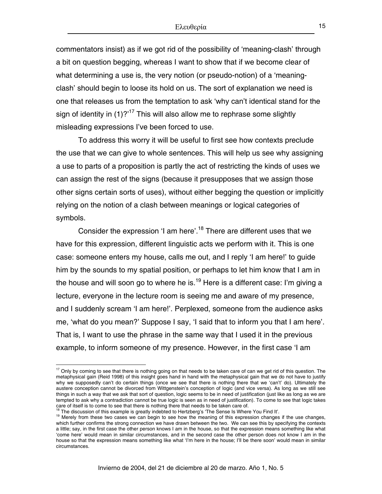commentators insist) as if we got rid of the possibility of 'meaning-clash' through a bit on question begging, whereas I want to show that if we become clear of what determining a use is, the very notion (or pseudo-notion) of a 'meaningclash' should begin to loose its hold on us. The sort of explanation we need is one that releases us from the temptation to ask 'why can't identical stand for the sign of identity in  $(1)$ ?<sup>'17</sup> This will also allow me to rephrase some slightly misleading expressions I've been forced to use.

To address this worry it will be useful to first see how contexts preclude the use that we can give to whole sentences. This will help us see why assigning a use to parts of a proposition is partly the act of restricting the kinds of uses we can assign the rest of the signs (because it presupposes that we assign those other signs certain sorts of uses), without either begging the question or implicitly relying on the notion of a clash between meanings or logical categories of symbols.

Consider the expression 'I am here'.<sup>18</sup> There are different uses that we have for this expression, different linguistic acts we perform with it. This is one case: someone enters my house, calls me out, and I reply 'I am here!' to guide him by the sounds to my spatial position, or perhaps to let him know that I am in the house and will soon go to where he is.<sup>19</sup> Here is a different case: I'm giving a lecture, everyone in the lecture room is seeing me and aware of my presence, and I suddenly scream 'I am here!'. Perplexed, someone from the audience asks me, 'what do you mean?' Suppose I say, 'I said that to inform you that I am here'. That is, I want to use the phrase in the same way that I used it in the previous example, to inform someone of my presence. However, in the first case 'I am

<span id="page-14-0"></span> $17$  Only by coming to see that there is nothing going on that needs to be taken care of can we get rid of this question. The metaphysical gain (Reid 1998) of this insight goes hand in hand with the metaphysical gain that we do not have to justify why we supposedly can't do certain things (once we see that there is nothing there that we 'can't' do). Ultimately the austere conception cannot be divorced from Wittgenstein's conception of logic (and vice versa). As long as we still see things in such a way that we ask that sort of question, logic seems to be in need of justification (just like as long as we are tempted to ask why a contradiction cannot be true logic is seen as in need of justification). To come to see that logic takes care of itself is to come to see that there is nothing there that needs to be taken care of.

<span id="page-14-2"></span><span id="page-14-1"></span>

<sup>&</sup>lt;sup>18</sup> The discussion of this example is greatly indebted to Hertzberg's 'The Sense Is Where You Find It'.<br><sup>19</sup> Merely from these two cases we can begin to see how the meaning of this expression changes if the use changes, which further confirms the strong connection we have drawn between the two. We can see this by specifying the contexts a little; say, in the first case the other person knows I am in the house, so that the expression means something like what 'come here' would mean in similar circumstances, and in the second case the other person does not know I am in the house so that the expression means something like what 'I'm here in the house; I'll be there soon' would mean in similar circumstances.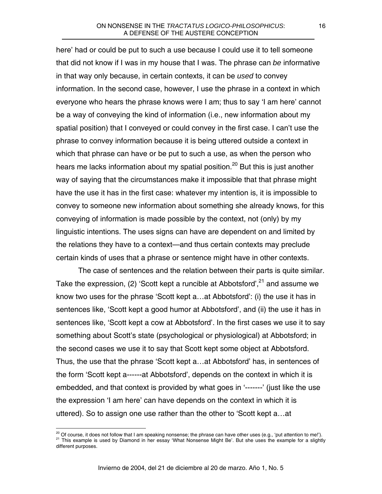here' had or could be put to such a use because I could use it to tell someone that did not know if I was in my house that I was. The phrase can *be* informative in that way only because, in certain contexts, it can be *used* to convey information. In the second case, however, I use the phrase in a context in which everyone who hears the phrase knows were I am; thus to say 'I am here' cannot be a way of conveying the kind of information (i.e., new information about my spatial position) that I conveyed or could convey in the first case. I can't use the phrase to convey information because it is being uttered outside a context in which that phrase can have or be put to such a use, as when the person who hears me lacks information about my spatial position.<sup>20</sup> But this is just another way of saying that the circumstances make it impossible that that phrase might have the use it has in the first case: whatever my intention is, it is impossible to convey to someone new information about something she already knows, for this conveying of information is made possible by the context, not (only) by my linguistic intentions. The uses signs can have are dependent on and limited by the relations they have to a context—and thus certain contexts may preclude certain kinds of uses that a phrase or sentence might have in other contexts.

The case of sentences and the relation between their parts is quite similar. Take the expression, (2) 'Scott kept a runcible at Abbotsford',  $2^1$  and assume we know two uses for the phrase 'Scott kept a…at Abbotsford': (i) the use it has in sentences like, 'Scott kept a good humor at Abbotsford', and (ii) the use it has in sentences like, 'Scott kept a cow at Abbotsford'. In the first cases we use it to say something about Scott's state (psychological or physiological) at Abbotsford; in the second cases we use it to say that Scott kept some object at Abbotsford. Thus, the use that the phrase 'Scott kept a…at Abbotsford' has, in sentences of the form 'Scott kept a------at Abbotsford', depends on the context in which it is embedded, and that context is provided by what goes in '------' (just like the use the expression 'I am here' can have depends on the context in which it is uttered). So to assign one use rather than the other to 'Scott kept a…at

<span id="page-15-1"></span><span id="page-15-0"></span><sup>&</sup>lt;sup>20</sup> Of course, it does not follow that I am speaking nonsense; the phrase can have other uses (e.g., 'put attention to me!').<br><sup>21</sup> This example is used by Diamond in her essay 'What Nonsense Might Be'. But she uses the e different purposes.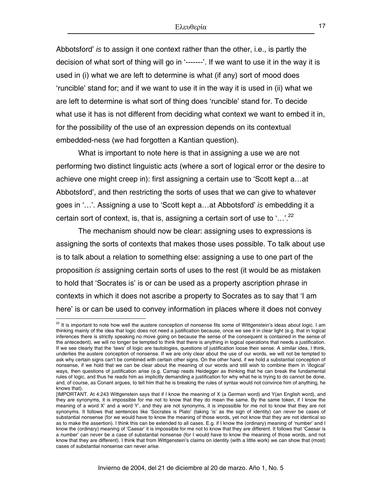Abbotsford' *is* to assign it one context rather than the other, i.e., is partly the decision of what sort of thing will go in '-------'. If we want to use it in the way it is used in (i) what we are left to determine is what (if any) sort of mood does 'runcible' stand for; and if we want to use it in the way it is used in (ii) what we are left to determine is what sort of thing does 'runcible' stand for. To decide what use it has is not different from deciding what context we want to embed it in, for the possibility of the use of an expression depends on its contextual embedded-ness (we had forgotten a Kantian question).

What is important to note here is that in assigning a use we are not performing two distinct linguistic acts (where a sort of logical error or the desire to achieve one might creep in): first assigning a certain use to 'Scott kept a…at Abbotsford', and then restricting the sorts of uses that we can give to whatever goes in '…'. Assigning a use to 'Scott kept a…at Abbotsford' *is* embedding it a certain sort of context, is, that is, assigning a certain sort of use to '...'.<sup>22</sup>

 The mechanism should now be clear: assigning uses to expressions is assigning the sorts of contexts that makes those uses possible. To talk about use is to talk about a relation to something else: assigning a use to one part of the proposition *is* assigning certain sorts of uses to the rest (it would be as mistaken to hold that 'Socrates is' is or can be used as a property ascription phrase in contexts in which it does not ascribe a property to Socrates as to say that 'I am here' is or can be used to convey information in places where it does not convey

<span id="page-16-0"></span> $^{22}$  It is important to note how well the austere conception of nonsense fits some of Wittgenstein's ideas about logic. I am thinking mainly of the idea that logic does not need a justification because, once we see it in clear light (e.g. that in logical inferences there is strictly speaking no move going on because the sense of the consequent is contained in the sense of the antecedent), we will no longer be tempted to think that there is anything in logical operations that needs a justification. If we see clearly that the 'laws' of logic are tautologies, questions of justification loose their sense. A similar idea, I think, underlies the austere conception of nonsense. If we are only clear about the use of our words, we will not be tempted to ask why certain signs can't be combined with certain other signs. On the other hand, if we hold a substantial conception of nonsense, if we hold that we can be clear about the meaning of our words and still wish to combine them in 'illogical' ways, then questions of justification arise (e.g. Carnap reads Heidegger as thinking that he can break the fundamental rules of logic, and thus he reads him as implicitly demanding a justification for why what he is trying to do cannot be done, and, of course, as Conant argues, to tell him that he is breaking the rules of syntax would not convince him of anything, he knows that).

<sup>[</sup>IMPORTANT. At 4.243 Wittgenstein says that if I know the meaning of X (a German word) and Y(an English word), and they are synonyms, it is impossible for me not to know that they do mean the same. By the same token, if I know the meaning of a word X' and a word Y', and they are not synonyms, it is impossible for me not to know that they are not synonyms. It follows that sentences like 'Socrates is Plato' (taking 'is' as the sign of identity) can *never* be cases of substantial nonsense (for we would have to know the meaning of those words, yet not know that they are not identical so as to make the assertion). I think this can be extended to all cases. E.g. if I know the (ordinary) meaning of 'number' and I know the (ordinary) meaning of 'Caesar' it is impossible for me not to know that they are different. It follows that 'Caesar is a number' can *never* be a case of substantial nonsense (for I would have to know the meaning of those words, and not know that they are different). I think that from Wittgenstein's claims on identity (with a little work) we can show that (most) cases of substantial nonsense can never arise.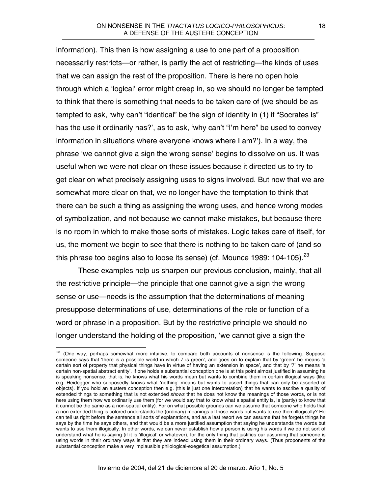information). This then is how assigning a use to one part of a proposition necessarily restricts—or rather, is partly the act of restricting—the kinds of uses that we can assign the rest of the proposition. There is here no open hole through which a 'logical' error might creep in, so we should no longer be tempted to think that there is something that needs to be taken care of (we should be as tempted to ask, 'why can't "identical" be the sign of identity in (1) if "Socrates is" has the use it ordinarily has?', as to ask, 'why can't "I'm here" be used to convey information in situations where everyone knows where I am?'). In a way, the phrase 'we cannot give a sign the wrong sense' begins to dissolve on us. It was useful when we were not clear on these issues because it directed us to try to get clear on what precisely assigning uses to signs involved. But now that we are somewhat more clear on that, we no longer have the temptation to think that there can be such a thing as assigning the wrong uses, and hence wrong modes of symbolization, and not because we cannot make mistakes, but because there is no room in which to make those sorts of mistakes. Logic takes care of itself, for us, the moment we begin to see that there is nothing to be taken care of (and so this phrase too begins also to loose its sense) (cf. Mounce 1989: 104-105).<sup>23</sup>

These examples help us sharpen our previous conclusion, mainly, that all the restrictive principle—the principle that one cannot give a sign the wrong sense or use—needs is the assumption that the determinations of meaning presuppose determinations of use, determinations of the role or function of a word or phrase in a proposition. But by the restrictive principle we should no longer understand the holding of the proposition, 'we cannot give a sign the

<span id="page-17-0"></span> $^{23}$  (One way, perhaps somewhat more intuitive, to compare both accounts of nonsense is the following. Suppose someone says that 'there is a possible world in which 7 is green', and goes on to explain that by 'green' he means 'a certain sort of property that physical things have in virtue of having an extension in space', and that by '7' he means 'a certain non-spatial abstract entity'. If one holds a substantial conception one is at this point almost justified in assuming he is speaking nonsense, that is, he knows what his words mean but wants to combine them in certain illogical ways (like e.g. Heidegger who supposedly knows what 'nothing' means but wants to assert things that can only be asserted of objects). If you hold an austere conception then e.g. (this is just one interpretation) that he wants to ascribe a quality of extended things to something that is not extended *shows* that he does not know the meanings of those words, or is not here using them how we ordinarily use them (for we would say that to know what a spatial entity is, is (partly) to know that it cannot be the same as a non-spatial entity). For on what possible grounds can we assume that someone who holds that a non-extended thing is colored understands the (ordinary) meanings of those words but wants to use them illogically? He can tell us right before the sentence all sorts of explanations, and as a last resort we can assume that he forgets things he says by the time he says others, and that would be a more justified assumption that saying he understands the words but wants to use them illogically. In other words, we can never establish how a person is using his words if we do not sort of understand what he is saying (if it is 'illogical' or whatever), for the only thing that justifies our assuming that someone is using words in their ordinary ways is that they are indeed using them in their ordinary ways. (Thus proponents of the substantial conception make a very implausible philological-exegetical assumption.)